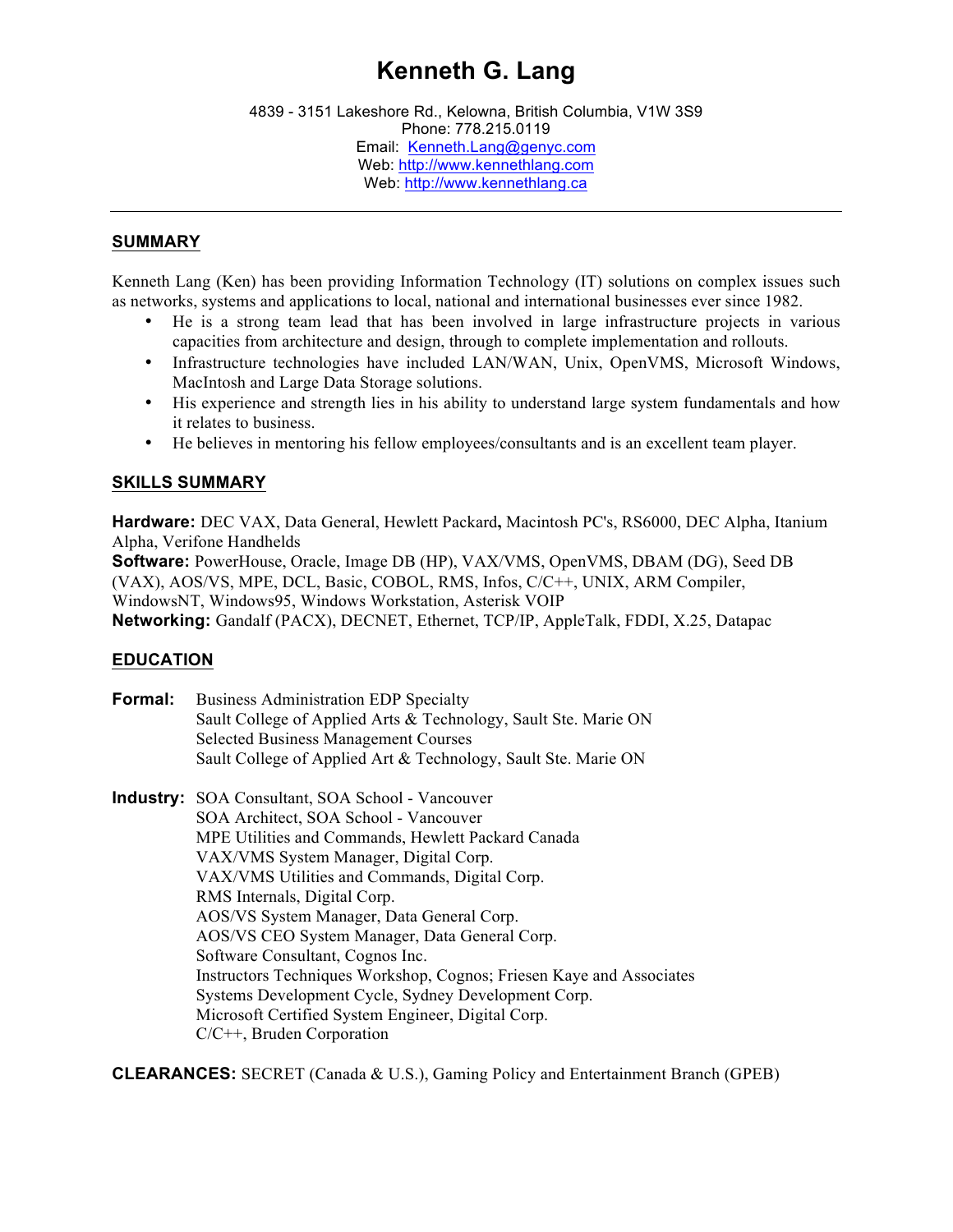# **Kenneth G. Lang**

4839 - 3151 Lakeshore Rd., Kelowna, British Columbia, V1W 3S9 Phone: 778.215.0119 Email: Kenneth.Lang@genyc.com Web: http://www.kennethlang.com Web: http://www.kennethlang.ca

### **SUMMARY**

Kenneth Lang (Ken) has been providing Information Technology (IT) solutions on complex issues such as networks, systems and applications to local, national and international businesses ever since 1982.

- He is a strong team lead that has been involved in large infrastructure projects in various capacities from architecture and design, through to complete implementation and rollouts.
- Infrastructure technologies have included LAN/WAN, Unix, OpenVMS, Microsoft Windows, MacIntosh and Large Data Storage solutions.
- His experience and strength lies in his ability to understand large system fundamentals and how it relates to business.
- He believes in mentoring his fellow employees/consultants and is an excellent team player.

## **SKILLS SUMMARY**

**Hardware:** DEC VAX, Data General, Hewlett Packard**,** Macintosh PC's, RS6000, DEC Alpha, Itanium Alpha, Verifone Handhelds **Software:** PowerHouse, Oracle, Image DB (HP), VAX/VMS, OpenVMS, DBAM (DG), Seed DB (VAX), AOS/VS, MPE, DCL, Basic, COBOL, RMS, Infos, C/C++, UNIX, ARM Compiler, WindowsNT, Windows95, Windows Workstation, Asterisk VOIP **Networking:** Gandalf (PACX), DECNET, Ethernet, TCP/IP, AppleTalk, FDDI, X.25, Datapac

#### **EDUCATION**

- **Formal:** Business Administration EDP Specialty Sault College of Applied Arts & Technology, Sault Ste. Marie ON Selected Business Management Courses Sault College of Applied Art & Technology, Sault Ste. Marie ON
- **Industry:** SOA Consultant, SOA School Vancouver SOA Architect, SOA School - Vancouver MPE Utilities and Commands, Hewlett Packard Canada VAX/VMS System Manager, Digital Corp. VAX/VMS Utilities and Commands, Digital Corp. RMS Internals, Digital Corp. AOS/VS System Manager, Data General Corp. AOS/VS CEO System Manager, Data General Corp. Software Consultant, Cognos Inc. Instructors Techniques Workshop, Cognos; Friesen Kaye and Associates Systems Development Cycle, Sydney Development Corp. Microsoft Certified System Engineer, Digital Corp. C/C++, Bruden Corporation

**CLEARANCES:** SECRET (Canada & U.S.), Gaming Policy and Entertainment Branch (GPEB)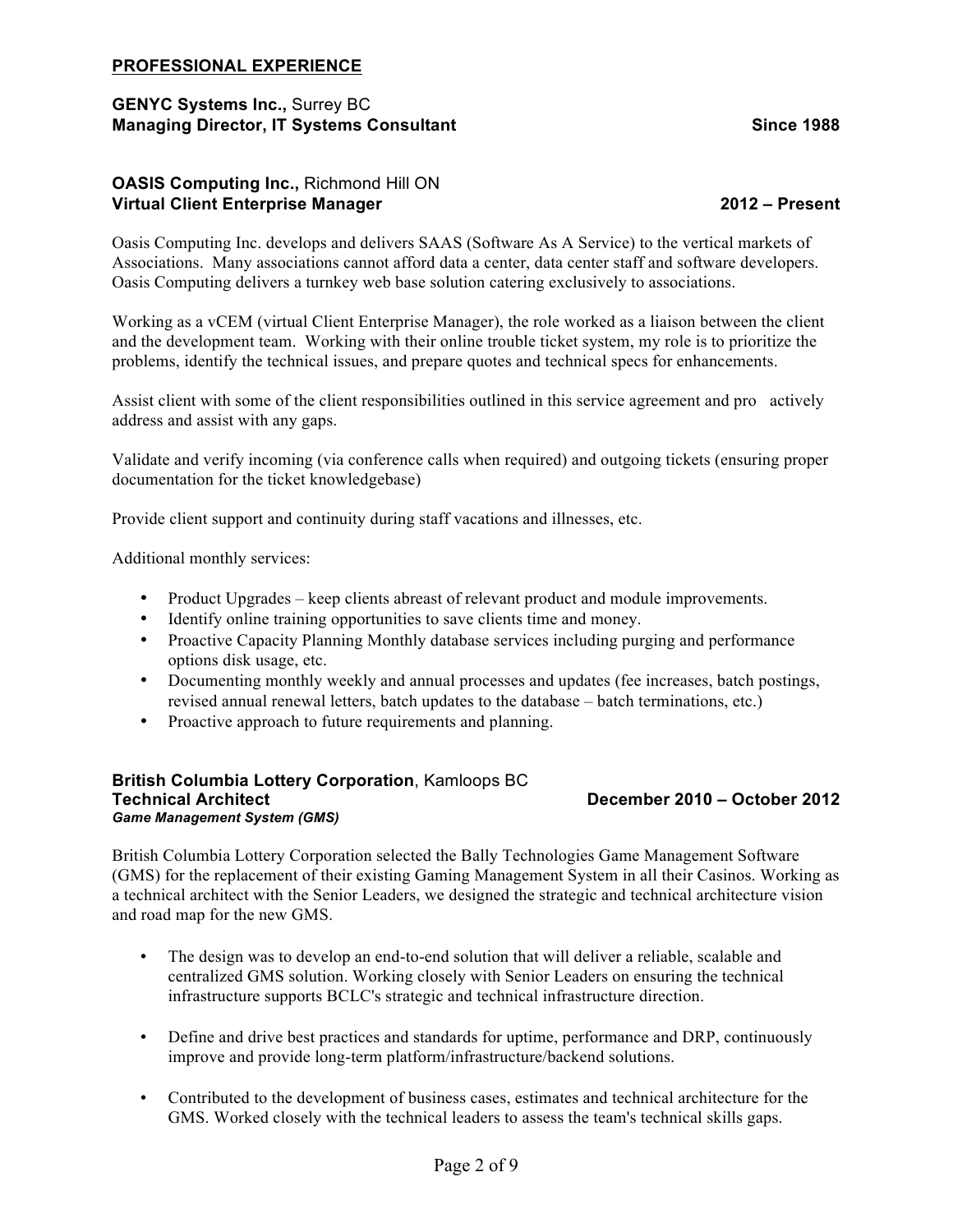### **PROFESSIONAL EXPERIENCE**

### **GENYC Systems Inc.,** Surrey BC **Managing Director, IT Systems Consultant Since 1988**

### **OASIS Computing Inc.,** Richmond Hill ON **Virtual Client Enterprise Manager 2012 – Present**

Oasis Computing Inc. develops and delivers SAAS (Software As A Service) to the vertical markets of Associations. Many associations cannot afford data a center, data center staff and software developers. Oasis Computing delivers a turnkey web base solution catering exclusively to associations.

Working as a vCEM (virtual Client Enterprise Manager), the role worked as a liaison between the client and the development team. Working with their online trouble ticket system, my role is to prioritize the problems, identify the technical issues, and prepare quotes and technical specs for enhancements.

Assist client with some of the client responsibilities outlined in this service agreement and pro actively address and assist with any gaps.

Validate and verify incoming (via conference calls when required) and outgoing tickets (ensuring proper documentation for the ticket knowledgebase)

Provide client support and continuity during staff vacations and illnesses, etc.

Additional monthly services:

- Product Upgrades keep clients abreast of relevant product and module improvements.
- Identify online training opportunities to save clients time and money.
- Proactive Capacity Planning Monthly database services including purging and performance options disk usage, etc.
- Documenting monthly weekly and annual processes and updates (fee increases, batch postings, revised annual renewal letters, batch updates to the database – batch terminations, etc.)
- Proactive approach to future requirements and planning.

#### **British Columbia Lottery Corporation**, Kamloops BC **Technical Architect December 2010 – October 2012** *Game Management System (GMS)*

British Columbia Lottery Corporation selected the Bally Technologies Game Management Software (GMS) for the replacement of their existing Gaming Management System in all their Casinos. Working as a technical architect with the Senior Leaders, we designed the strategic and technical architecture vision and road map for the new GMS.

- The design was to develop an end-to-end solution that will deliver a reliable, scalable and centralized GMS solution. Working closely with Senior Leaders on ensuring the technical infrastructure supports BCLC's strategic and technical infrastructure direction.
- Define and drive best practices and standards for uptime, performance and DRP, continuously improve and provide long-term platform/infrastructure/backend solutions.
- Contributed to the development of business cases, estimates and technical architecture for the GMS. Worked closely with the technical leaders to assess the team's technical skills gaps.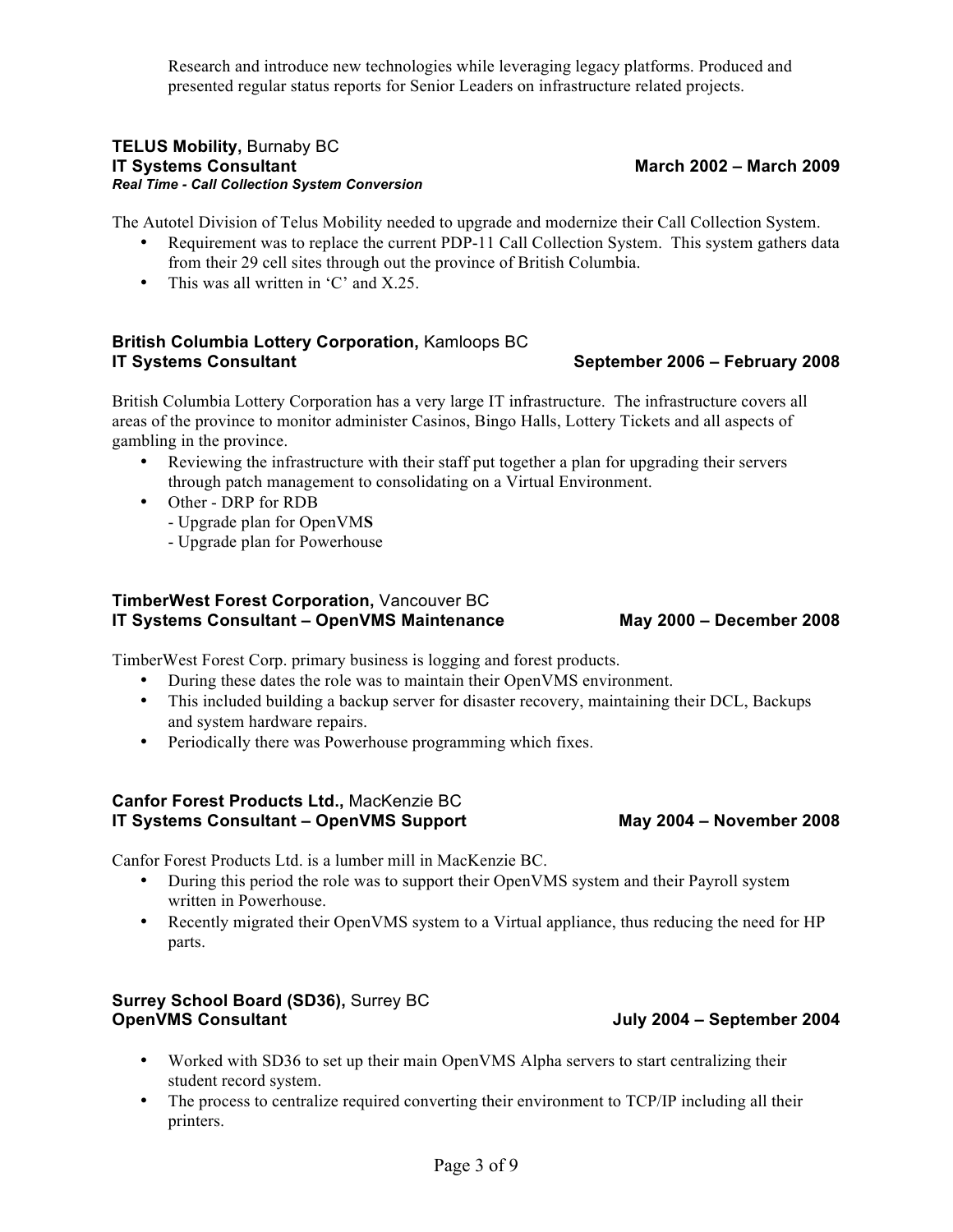Research and introduce new technologies while leveraging legacy platforms. Produced and presented regular status reports for Senior Leaders on infrastructure related projects.

#### **TELUS Mobility,** Burnaby BC **IT Systems Consultant March 2002 – March 2009** *Real Time - Call Collection System Conversion*

The Autotel Division of Telus Mobility needed to upgrade and modernize their Call Collection System.

- Requirement was to replace the current PDP-11 Call Collection System. This system gathers data from their 29 cell sites through out the province of British Columbia.
- This was all written in 'C' and X.25.

## **British Columbia Lottery Corporation,** Kamloops BC **IT Systems Consultant September 2006 – February 2008**

British Columbia Lottery Corporation has a very large IT infrastructure. The infrastructure covers all areas of the province to monitor administer Casinos, Bingo Halls, Lottery Tickets and all aspects of gambling in the province.

- Reviewing the infrastructure with their staff put together a plan for upgrading their servers through patch management to consolidating on a Virtual Environment.
- Other DRP for RDB
	- Upgrade plan for OpenVM**S**
	- Upgrade plan for Powerhouse

### **TimberWest Forest Corporation,** Vancouver BC **IT Systems Consultant – OpenVMS Maintenance May 2000 – December 2008**

TimberWest Forest Corp. primary business is logging and forest products.

- During these dates the role was to maintain their OpenVMS environment.
- This included building a backup server for disaster recovery, maintaining their DCL, Backups and system hardware repairs.
- Periodically there was Powerhouse programming which fixes.

### **Canfor Forest Products Ltd.,** MacKenzie BC **IT Systems Consultant – OpenVMS Support May 2004 – November 2008**

Canfor Forest Products Ltd. is a lumber mill in MacKenzie BC.

- During this period the role was to support their OpenVMS system and their Payroll system written in Powerhouse.
- Recently migrated their OpenVMS system to a Virtual appliance, thus reducing the need for HP parts.

## **Surrey School Board (SD36),** Surrey BC **OpenVMS Consultant July 2004 – September 2004**

- Worked with SD36 to set up their main OpenVMS Alpha servers to start centralizing their student record system.
- The process to centralize required converting their environment to TCP/IP including all their printers.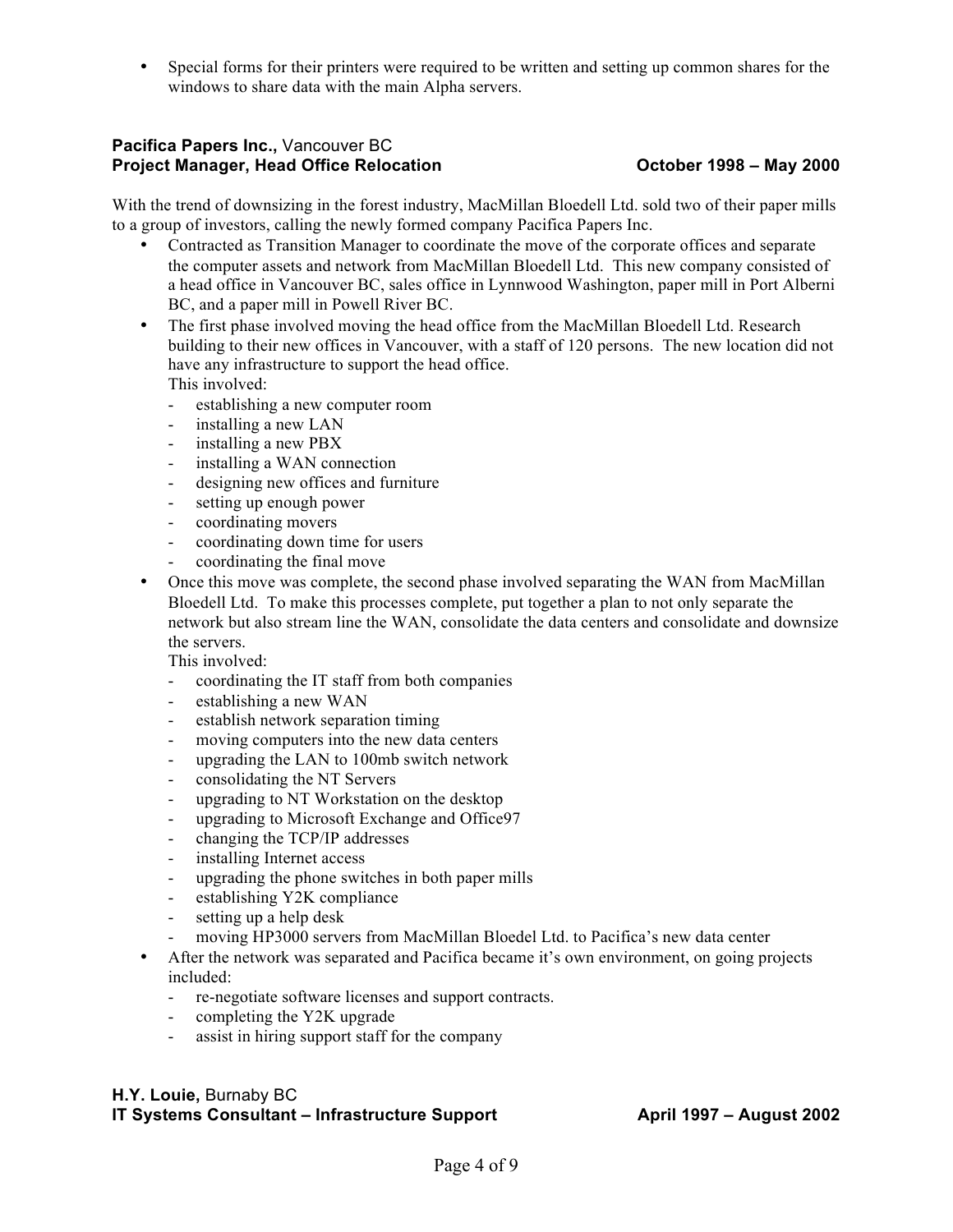• Special forms for their printers were required to be written and setting up common shares for the windows to share data with the main Alpha servers.

## **Pacifica Papers Inc.,** Vancouver BC **Project Manager, Head Office Relocation October 1998 – May 2000**

With the trend of downsizing in the forest industry, MacMillan Bloedell Ltd. sold two of their paper mills to a group of investors, calling the newly formed company Pacifica Papers Inc.

- Contracted as Transition Manager to coordinate the move of the corporate offices and separate the computer assets and network from MacMillan Bloedell Ltd. This new company consisted of a head office in Vancouver BC, sales office in Lynnwood Washington, paper mill in Port Alberni BC, and a paper mill in Powell River BC.
- The first phase involved moving the head office from the MacMillan Bloedell Ltd. Research building to their new offices in Vancouver, with a staff of 120 persons. The new location did not have any infrastructure to support the head office. This involved:
	- establishing a new computer room
	- installing a new LAN
	- installing a new PBX
	- installing a WAN connection
	- designing new offices and furniture
	- setting up enough power
	- coordinating movers
	- coordinating down time for users
	- coordinating the final move
- Once this move was complete, the second phase involved separating the WAN from MacMillan Bloedell Ltd. To make this processes complete, put together a plan to not only separate the network but also stream line the WAN, consolidate the data centers and consolidate and downsize the servers.

This involved:

- coordinating the IT staff from both companies
- establishing a new WAN
- establish network separation timing
- moving computers into the new data centers
- upgrading the LAN to 100mb switch network
- consolidating the NT Servers
- upgrading to NT Workstation on the desktop
- upgrading to Microsoft Exchange and Office97
- changing the TCP/IP addresses
- installing Internet access
- upgrading the phone switches in both paper mills
- establishing Y2K compliance
- setting up a help desk
- moving HP3000 servers from MacMillan Bloedel Ltd. to Pacifica's new data center
- After the network was separated and Pacifica became it's own environment, on going projects included:
	- re-negotiate software licenses and support contracts.
	- completing the Y2K upgrade
	- assist in hiring support staff for the company

## **H.Y. Louie,** Burnaby BC **IT Systems Consultant – Infrastructure Support April 1997 – August 2002**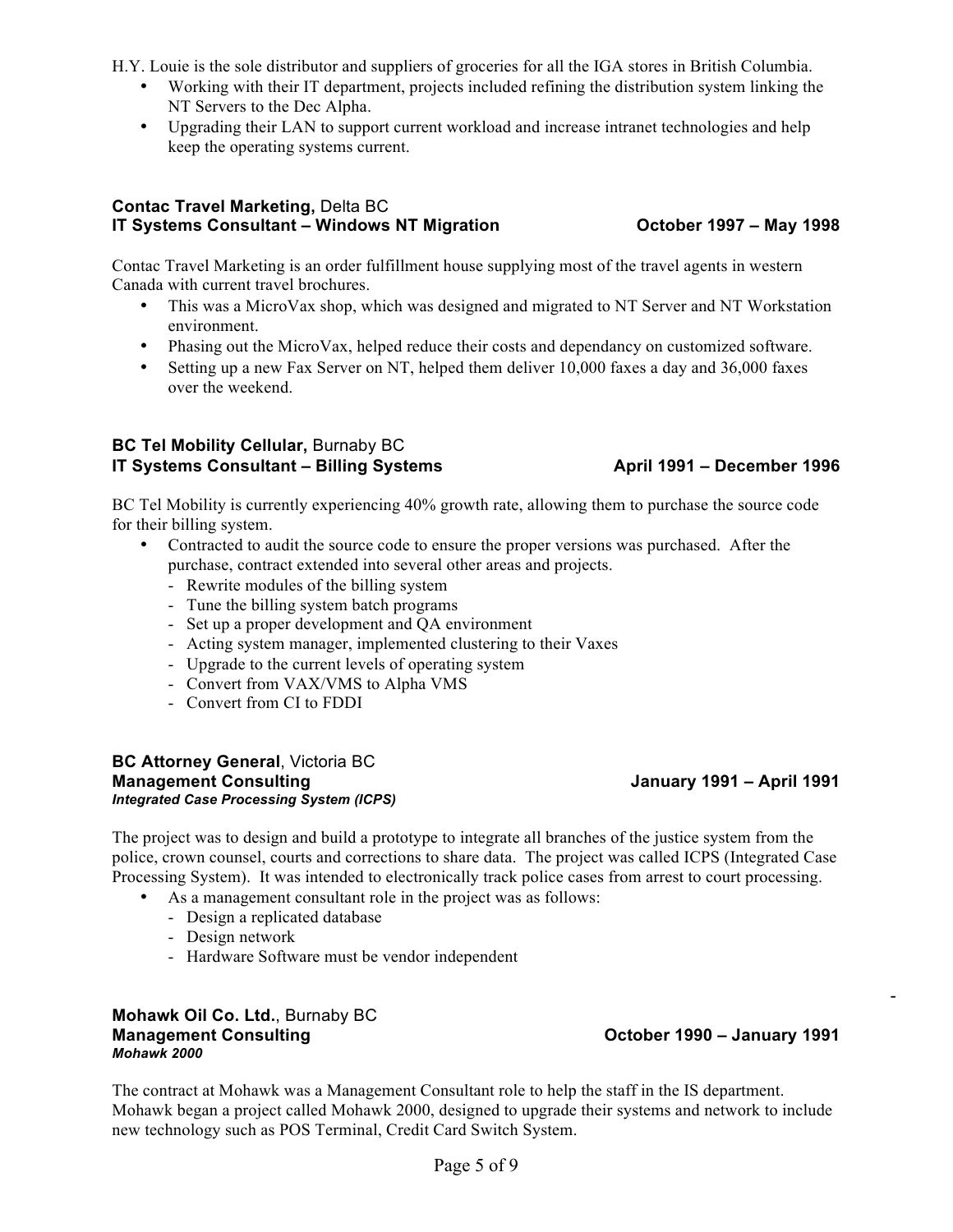H.Y. Louie is the sole distributor and suppliers of groceries for all the IGA stores in British Columbia.

- Working with their IT department, projects included refining the distribution system linking the NT Servers to the Dec Alpha.
- Upgrading their LAN to support current workload and increase intranet technologies and help keep the operating systems current.

### **Contac Travel Marketing,** Delta BC **IT Systems Consultant – Windows NT Migration October 1997 – May 1998**

Contac Travel Marketing is an order fulfillment house supplying most of the travel agents in western Canada with current travel brochures.

- This was a MicroVax shop, which was designed and migrated to NT Server and NT Workstation environment.
- Phasing out the MicroVax, helped reduce their costs and dependancy on customized software.
- Setting up a new Fax Server on NT, helped them deliver 10,000 faxes a day and 36,000 faxes over the weekend.

## **BC Tel Mobility Cellular, Burnaby BC IT Systems Consultant – Billing Systems April 1991 – December 1996**

BC Tel Mobility is currently experiencing 40% growth rate, allowing them to purchase the source code for their billing system.

- Contracted to audit the source code to ensure the proper versions was purchased. After the purchase, contract extended into several other areas and projects.
	- Rewrite modules of the billing system
	- Tune the billing system batch programs
	- Set up a proper development and QA environment
	- Acting system manager, implemented clustering to their Vaxes
	- Upgrade to the current levels of operating system
	- Convert from VAX/VMS to Alpha VMS
	- Convert from CI to FDDI

#### **BC Attorney General**, Victoria BC **Management Consulting January 1991 – April 1991** *Integrated Case Processing System (ICPS)*

The project was to design and build a prototype to integrate all branches of the justice system from the police, crown counsel, courts and corrections to share data. The project was called ICPS (Integrated Case Processing System). It was intended to electronically track police cases from arrest to court processing.

- As a management consultant role in the project was as follows:
	- Design a replicated database
	- Design network
	- Hardware Software must be vendor independent

#### **Mohawk Oil Co. Ltd.**, Burnaby BC **Management Consulting October 1990 – January 1991** *Mohawk 2000*

- -

The contract at Mohawk was a Management Consultant role to help the staff in the IS department. Mohawk began a project called Mohawk 2000, designed to upgrade their systems and network to include new technology such as POS Terminal, Credit Card Switch System.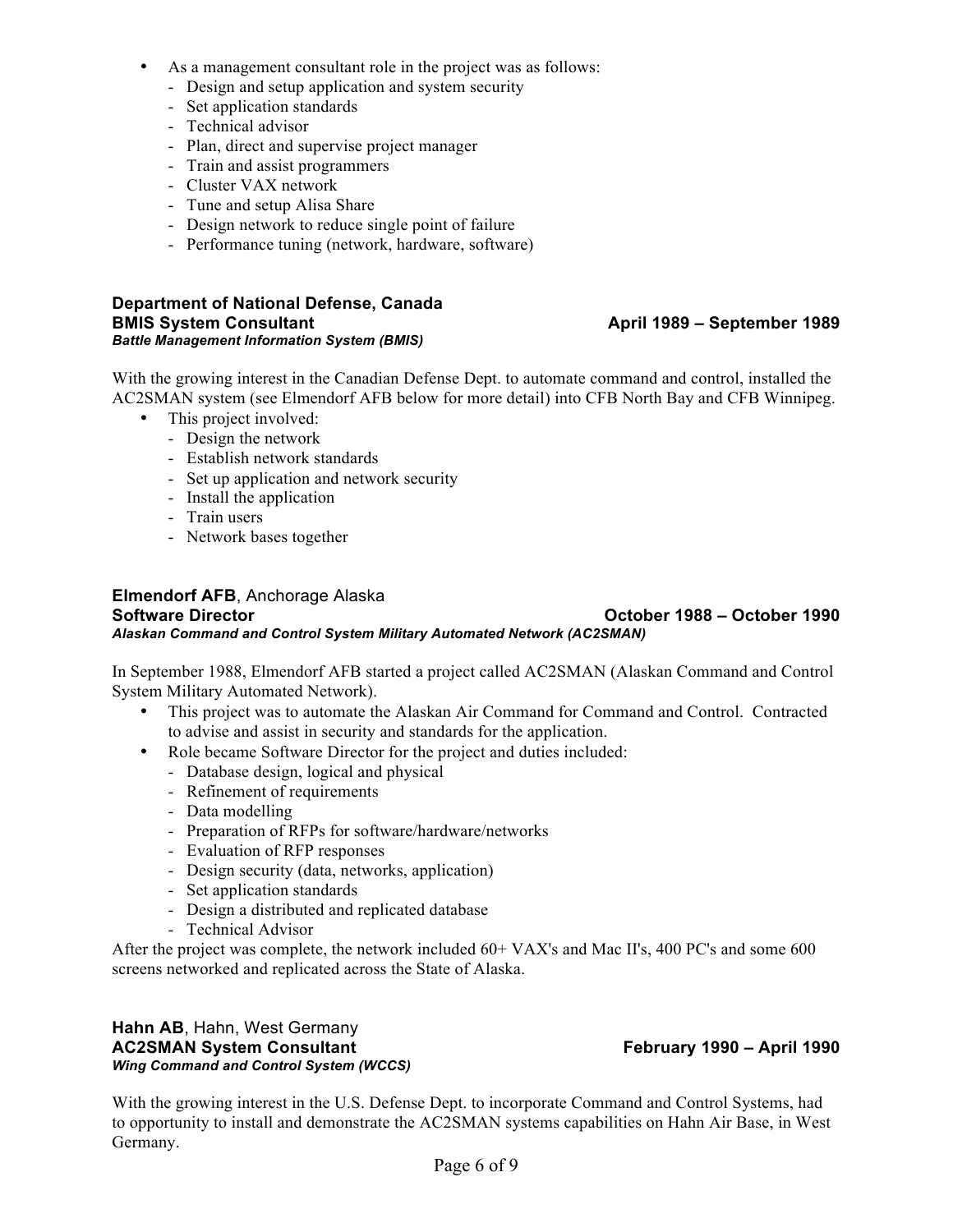- As a management consultant role in the project was as follows:
	- Design and setup application and system security
	- Set application standards
	- Technical advisor
	- Plan, direct and supervise project manager
	- Train and assist programmers
	- Cluster VAX network
	- Tune and setup Alisa Share
	- Design network to reduce single point of failure
	- Performance tuning (network, hardware, software)

#### **Department of National Defense, Canada BMIS System Consultant April 1989 – September 1989** *Battle Management Information System (BMIS)*

With the growing interest in the Canadian Defense Dept. to automate command and control, installed the AC2SMAN system (see Elmendorf AFB below for more detail) into CFB North Bay and CFB Winnipeg.

- This project involved:
	- Design the network
	- Establish network standards
	- Set up application and network security
	- Install the application
	- Train users
	- Network bases together

### **Elmendorf AFB**, Anchorage Alaska **Software Director October 1988 – October 1990** *Alaskan Command and Control System Military Automated Network (AC2SMAN)*

In September 1988, Elmendorf AFB started a project called AC2SMAN (Alaskan Command and Control System Military Automated Network).

- This project was to automate the Alaskan Air Command for Command and Control. Contracted to advise and assist in security and standards for the application.
- Role became Software Director for the project and duties included:
	- Database design, logical and physical
	- Refinement of requirements
	- Data modelling
	- Preparation of RFPs for software/hardware/networks
	- Evaluation of RFP responses
	- Design security (data, networks, application)
	- Set application standards
	- Design a distributed and replicated database
	- Technical Advisor

After the project was complete, the network included 60+ VAX's and Mac II's, 400 PC's and some 600 screens networked and replicated across the State of Alaska.

#### **Hahn AB**, Hahn, West Germany **AC2SMAN System Consultant February 1990 – April 1990** *Wing Command and Control System (WCCS)*

With the growing interest in the U.S. Defense Dept. to incorporate Command and Control Systems, had to opportunity to install and demonstrate the AC2SMAN systems capabilities on Hahn Air Base, in West Germany.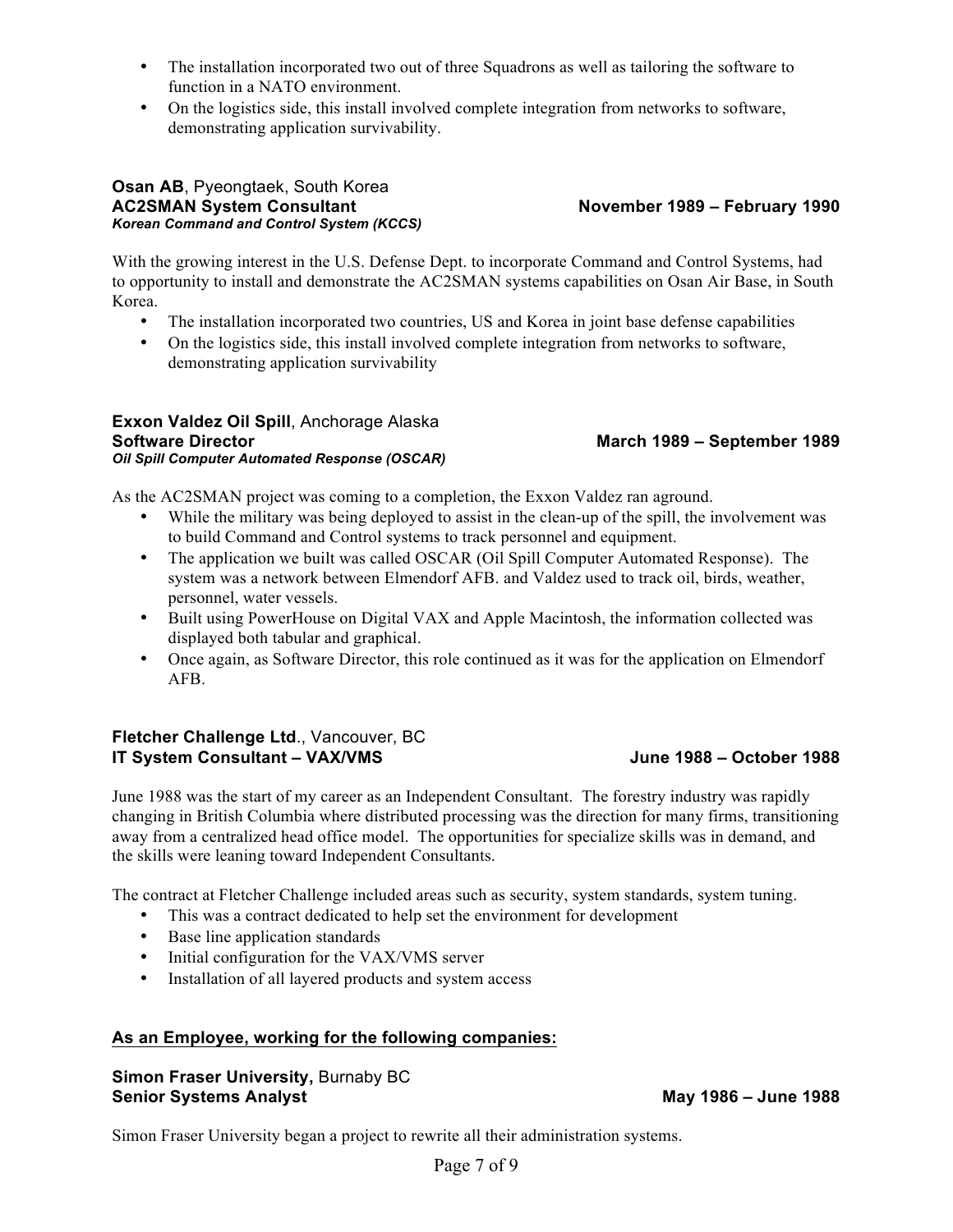- The installation incorporated two out of three Squadrons as well as tailoring the software to function in a NATO environment.
- On the logistics side, this install involved complete integration from networks to software, demonstrating application survivability.

#### **Osan AB**, Pyeongtaek, South Korea **AC2SMAN System Consultant November 1989 – February 1990** *Korean Command and Control System (KCCS)*

With the growing interest in the U.S. Defense Dept. to incorporate Command and Control Systems, had to opportunity to install and demonstrate the AC2SMAN systems capabilities on Osan Air Base, in South Korea.

- The installation incorporated two countries, US and Korea in joint base defense capabilities
- On the logistics side, this install involved complete integration from networks to software, demonstrating application survivability

#### **Exxon Valdez Oil Spill**, Anchorage Alaska **Software Director March 1989 – September 1989** *Oil Spill Computer Automated Response (OSCAR)*

As the AC2SMAN project was coming to a completion, the Exxon Valdez ran aground.

- While the military was being deployed to assist in the clean-up of the spill, the involvement was to build Command and Control systems to track personnel and equipment.
- The application we built was called OSCAR (Oil Spill Computer Automated Response). The system was a network between Elmendorf AFB. and Valdez used to track oil, birds, weather, personnel, water vessels.
- Built using PowerHouse on Digital VAX and Apple Macintosh, the information collected was displayed both tabular and graphical.
- Once again, as Software Director, this role continued as it was for the application on Elmendorf AFB.

## **Fletcher Challenge Ltd**., Vancouver, BC **IT System Consultant – VAX/VMS June 1988 – October 1988**

June 1988 was the start of my career as an Independent Consultant. The forestry industry was rapidly changing in British Columbia where distributed processing was the direction for many firms, transitioning away from a centralized head office model. The opportunities for specialize skills was in demand, and the skills were leaning toward Independent Consultants.

The contract at Fletcher Challenge included areas such as security, system standards, system tuning.

- This was a contract dedicated to help set the environment for development
- Base line application standards
- Initial configuration for the VAX/VMS server
- Installation of all layered products and system access

## **As an Employee, working for the following companies:**

## **Simon Fraser University, Burnaby BC Senior Systems Analyst May 1986 – June 1988**

Simon Fraser University began a project to rewrite all their administration systems.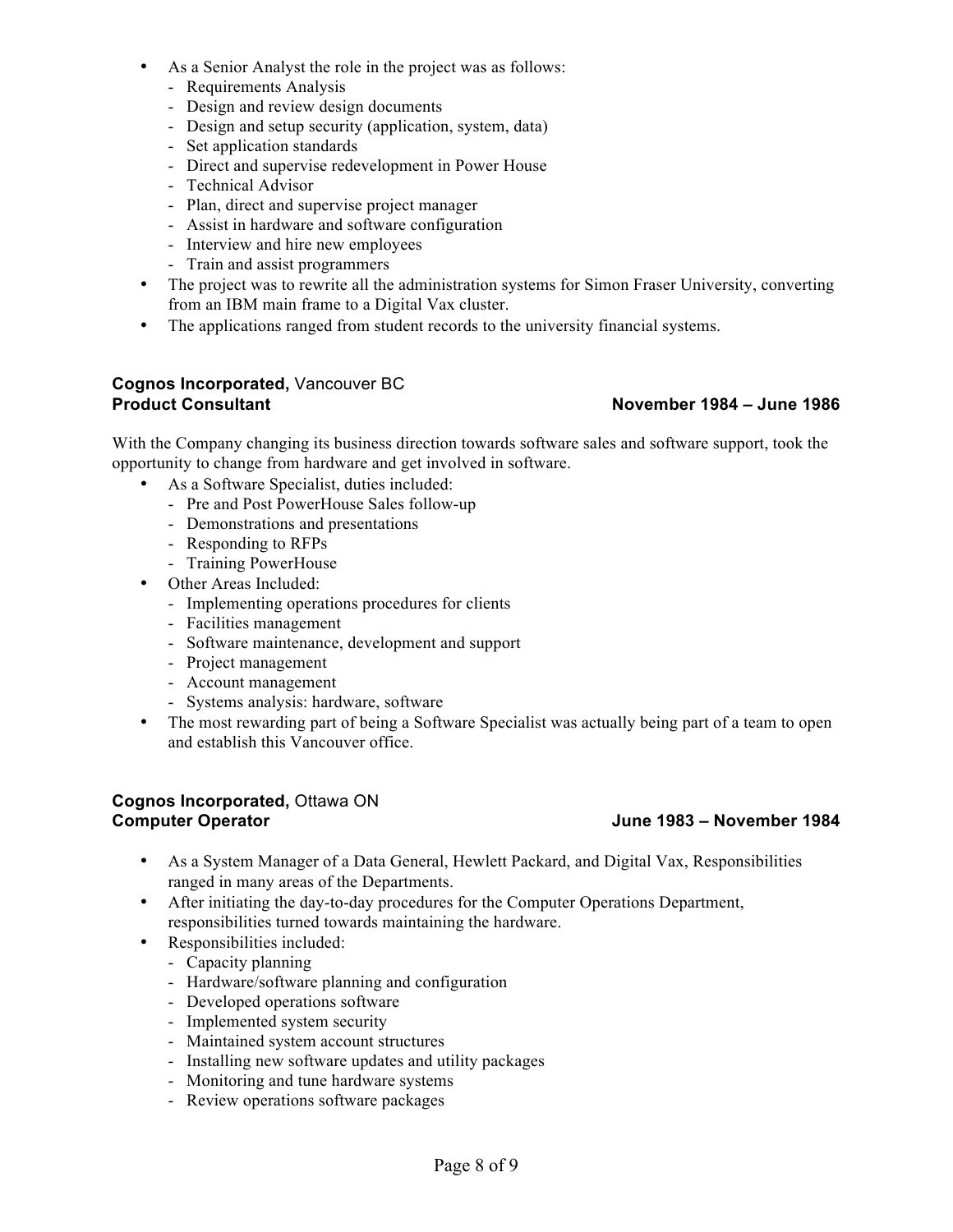- As a Senior Analyst the role in the project was as follows:
	- Requirements Analysis
	- Design and review design documents
	- Design and setup security (application, system, data)
	- Set application standards
	- Direct and supervise redevelopment in Power House
	- Technical Advisor
	- Plan, direct and supervise project manager
	- Assist in hardware and software configuration
	- Interview and hire new employees
	- Train and assist programmers
- The project was to rewrite all the administration systems for Simon Fraser University, converting from an IBM main frame to a Digital Vax cluster.
- The applications ranged from student records to the university financial systems.

### **Cognos Incorporated,** Vancouver BC **Product Consultant November 1984 – June 1986**

With the Company changing its business direction towards software sales and software support, took the opportunity to change from hardware and get involved in software.

- As a Software Specialist, duties included:
	- Pre and Post PowerHouse Sales follow-up
	- Demonstrations and presentations
	- Responding to RFPs
	- Training PowerHouse
- Other Areas Included:
	- Implementing operations procedures for clients
	- Facilities management
	- Software maintenance, development and support
	- Project management
	- Account management
	- Systems analysis: hardware, software
- The most rewarding part of being a Software Specialist was actually being part of a team to open and establish this Vancouver office.

### **Cognos Incorporated,** Ottawa ON **Computer Operator June 1983 – November 1984**

- As a System Manager of a Data General, Hewlett Packard, and Digital Vax, Responsibilities ranged in many areas of the Departments.
- After initiating the day-to-day procedures for the Computer Operations Department, responsibilities turned towards maintaining the hardware.
- Responsibilities included:
	- Capacity planning
	- Hardware/software planning and configuration
	- Developed operations software
	- Implemented system security
	- Maintained system account structures
	- Installing new software updates and utility packages
	- Monitoring and tune hardware systems
	- Review operations software packages